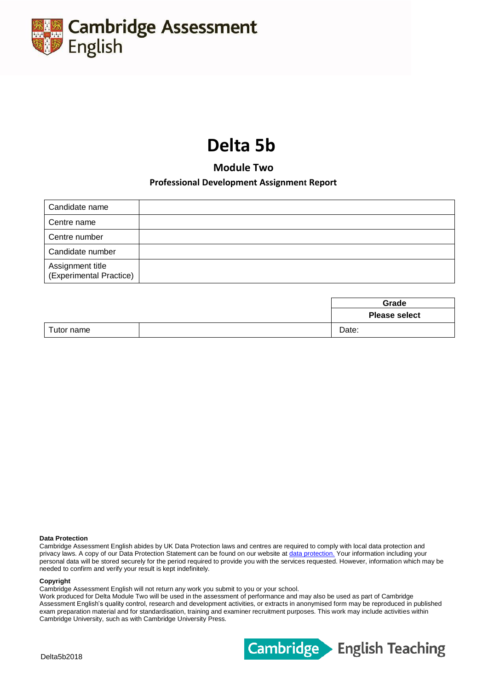

# **Delta 5b**

**Module Two**

# **Professional Development Assignment Report**

| Candidate name                              |  |
|---------------------------------------------|--|
| Centre name                                 |  |
| Centre number                               |  |
| Candidate number                            |  |
| Assignment title<br>(Experimental Practice) |  |

|            |  | Grade                |
|------------|--|----------------------|
|            |  | <b>Please select</b> |
| Tutor name |  | Date:                |

#### **Data Protection**

Cambridge Assessment English abides by UK Data Protection laws and centres are required to comply with local data protection and privacy laws. A copy of our Data Protection Statement can be found on our website at [data protection.](http://www.cambridgeenglish.org/footer/data-protection/) Your information including your personal data will be stored securely for the period required to provide you with the services requested. However, information which may be needed to confirm and verify your result is kept indefinitely.

#### **Copyright**

Cambridge Assessment English will not return any work you submit to you or your school.

Work produced for Delta Module Two will be used in the assessment of performance and may also be used as part of Cambridge Assessment English's quality control, research and development activities, or extracts in anonymised form may be reproduced in published exam preparation material and for standardisation, training and examiner recruitment purposes. This work may include activities within Cambridge University, such as with Cambridge University Press.

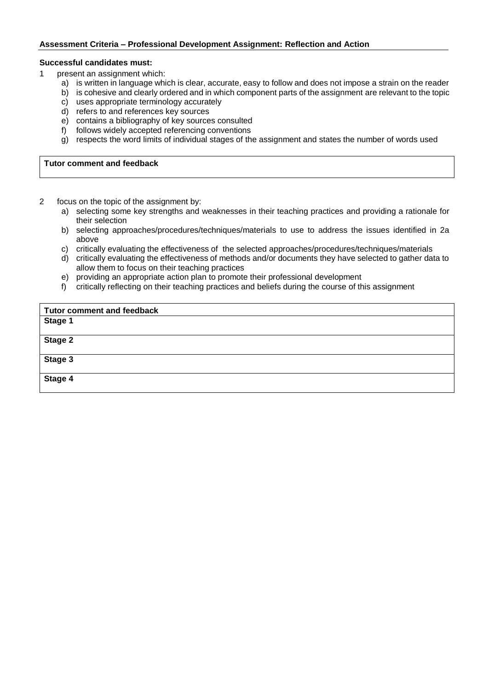# **Assessment Criteria – Professional Development Assignment: Reflection and Action**

## **Successful candidates must:**

- 1 present an assignment which:
	- a) is written in language which is clear, accurate, easy to follow and does not impose a strain on the reader
	- b) is cohesive and clearly ordered and in which component parts of the assignment are relevant to the topic
	- c) uses appropriate terminology accurately
	- d) refers to and references key sources
	- e) contains a bibliography of key sources consulted
	- f) follows widely accepted referencing conventions
	- g) respects the word limits of individual stages of the assignment and states the number of words used

### **Tutor comment and feedback**

- 2 focus on the topic of the assignment by:
	- a) selecting some key strengths and weaknesses in their teaching practices and providing a rationale for their selection
	- b) selecting approaches/procedures/techniques/materials to use to address the issues identified in 2a above
	- c) critically evaluating the effectiveness of the selected approaches/procedures/techniques/materials
	- d) critically evaluating the effectiveness of methods and/or documents they have selected to gather data to allow them to focus on their teaching practices
	- e) providing an appropriate action plan to promote their professional development
	- f) critically reflecting on their teaching practices and beliefs during the course of this assignment

| <b>Tutor comment and feedback</b> |  |
|-----------------------------------|--|
| Stage 1                           |  |
| Stage 2                           |  |
| Stage 3                           |  |
| Stage 4                           |  |